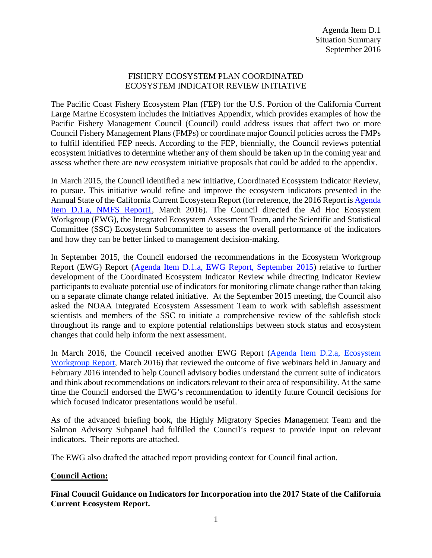## FISHERY ECOSYSTEM PLAN COORDINATED ECOSYSTEM INDICATOR REVIEW INITIATIVE

The Pacific Coast Fishery Ecosystem Plan (FEP) for the U.S. Portion of the California Current Large Marine Ecosystem includes the Initiatives Appendix, which provides examples of how the Pacific Fishery Management Council (Council) could address issues that affect two or more Council Fishery Management Plans (FMPs) or coordinate major Council policies across the FMPs to fulfill identified FEP needs. According to the FEP, biennially, the Council reviews potential ecosystem initiatives to determine whether any of them should be taken up in the coming year and assess whether there are new ecosystem initiative proposals that could be added to the appendix.

In March 2015, the Council identified a new initiative, Coordinated Ecosystem Indicator Review, to pursue. This initiative would refine and improve the ecosystem indicators presented in the Annual State of the California Current Ecosystem Report (for reference, the 2016 Report i[s Agenda](http://www.pcouncil.org/wp-content/uploads/2016/02/D1a_NMFS1_2016_IEA_SoCC_FINAL_MAR2016BB.pdf)  [Item D.1.a, NMFS Report1,](http://www.pcouncil.org/wp-content/uploads/2016/02/D1a_NMFS1_2016_IEA_SoCC_FINAL_MAR2016BB.pdf) March 2016). The Council directed the Ad Hoc Ecosystem Workgroup (EWG), the Integrated Ecosystem Assessment Team, and the Scientific and Statistical Committee (SSC) Ecosystem Subcommittee to assess the overall performance of the indicators and how they can be better linked to management decision-making.

In September 2015, the Council endorsed the recommendations in the Ecosystem Workgroup Report (EWG) Report [\(Agenda Item D.1.a, EWG Report, September 2015\)](http://www.pcouncil.org/wp-content/uploads/2015/08/D1a_EWG_Rpt_Initiatives_SEPT2015BB.pdf) relative to further development of the Coordinated Ecosystem Indicator Review while directing Indicator Review participants to evaluate potential use of indicators for monitoring climate change rather than taking on a separate climate change related initiative. At the September 2015 meeting, the Council also asked the NOAA Integrated Ecosystem Assessment Team to work with sablefish assessment scientists and members of the SSC to initiate a comprehensive review of the sablefish stock throughout its range and to explore potential relationships between stock status and ecosystem changes that could help inform the next assessment.

In March 2016, the Council received another EWG Report [\(Agenda Item D.2.a, Ecosystem](http://www.pcouncil.org/wp-content/uploads/2016/02/D2a_EWG_Rpt_MAR2016BB.pdf)  [Workgroup Report,](http://www.pcouncil.org/wp-content/uploads/2016/02/D2a_EWG_Rpt_MAR2016BB.pdf) March 2016) that reviewed the outcome of five webinars held in January and February 2016 intended to help Council advisory bodies understand the current suite of indicators and think about recommendations on indicators relevant to their area of responsibility. At the same time the Council endorsed the EWG's recommendation to identify future Council decisions for which focused indicator presentations would be useful.

As of the advanced briefing book, the Highly Migratory Species Management Team and the Salmon Advisory Subpanel had fulfilled the Council's request to provide input on relevant indicators. Their reports are attached.

The EWG also drafted the attached report providing context for Council final action.

## **Council Action:**

**Final Council Guidance on Indicators for Incorporation into the 2017 State of the California Current Ecosystem Report.**